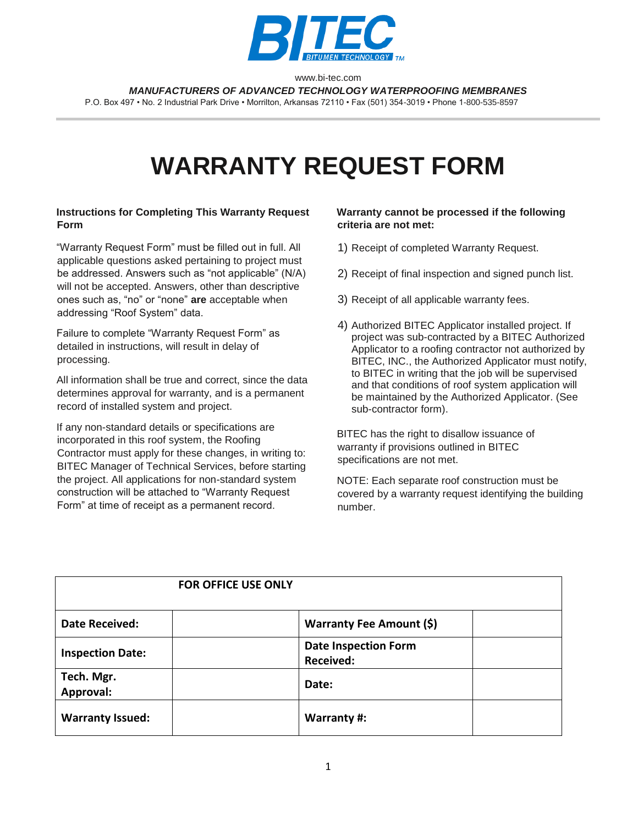

www.bi-tec.com *MANUFACTURERS OF ADVANCED TECHNOLOGY WATERPROOFING MEMBRANES*

P.O. Box 497 • No. 2 Industrial Park Drive • Morrilton, Arkansas 72110 • Fax (501) 354-3019 • Phone 1-800-535-8597

# **WARRANTY REQUEST FORM**

#### **Instructions for Completing This Warranty Request Form**

"Warranty Request Form" must be filled out in full. All applicable questions asked pertaining to project must be addressed. Answers such as "not applicable" (N/A) will not be accepted. Answers, other than descriptive ones such as, "no" or "none" **are** acceptable when addressing "Roof System" data.

Failure to complete "Warranty Request Form" as detailed in instructions, will result in delay of processing.

All information shall be true and correct, since the data determines approval for warranty, and is a permanent record of installed system and project.

If any non-standard details or specifications are incorporated in this roof system, the Roofing Contractor must apply for these changes, in writing to: BITEC Manager of Technical Services, before starting the project. All applications for non-standard system construction will be attached to "Warranty Request Form" at time of receipt as a permanent record.

#### **Warranty cannot be processed if the following criteria are not met:**

- 1) Receipt of completed Warranty Request.
- 2) Receipt of final inspection and signed punch list.
- 3) Receipt of all applicable warranty fees.
- 4) Authorized BITEC Applicator installed project. If project was sub-contracted by a BITEC Authorized Applicator to a roofing contractor not authorized by BITEC, INC., the Authorized Applicator must notify, to BITEC in writing that the job will be supervised and that conditions of roof system application will be maintained by the Authorized Applicator. (See sub-contractor form).

BITEC has the right to disallow issuance of warranty if provisions outlined in BITEC specifications are not met.

NOTE: Each separate roof construction must be covered by a warranty request identifying the building number.

|                         | <b>FOR OFFICE USE ONLY</b> |                                                 |  |
|-------------------------|----------------------------|-------------------------------------------------|--|
| <b>Date Received:</b>   |                            | <b>Warranty Fee Amount (\$)</b>                 |  |
| <b>Inspection Date:</b> |                            | <b>Date Inspection Form</b><br><b>Received:</b> |  |
| Tech. Mgr.<br>Approval: |                            | Date:                                           |  |
| <b>Warranty Issued:</b> |                            | Warranty #:                                     |  |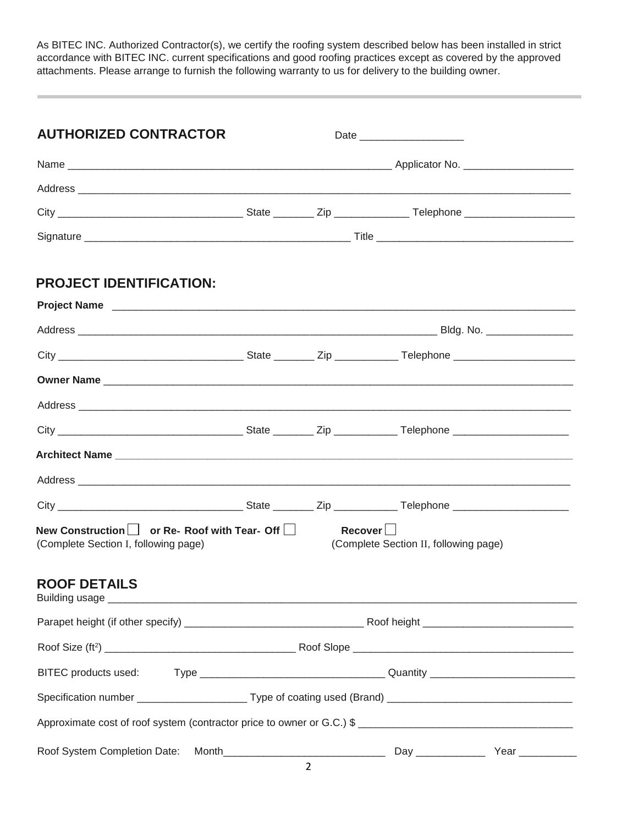As BITEC INC. Authorized Contractor(s), we certify the roofing system described below has been installed in strict accordance with BITEC INC. current specifications and good roofing practices except as covered by the approved attachments. Please arrange to furnish the following warranty to us for delivery to the building owner.

| <b>AUTHORIZED CONTRACTOR</b>                                                                                                                                                                                                   |                                                                                                                |                |                                       |  |  |  |
|--------------------------------------------------------------------------------------------------------------------------------------------------------------------------------------------------------------------------------|----------------------------------------------------------------------------------------------------------------|----------------|---------------------------------------|--|--|--|
|                                                                                                                                                                                                                                |                                                                                                                |                |                                       |  |  |  |
|                                                                                                                                                                                                                                |                                                                                                                |                |                                       |  |  |  |
|                                                                                                                                                                                                                                |                                                                                                                |                |                                       |  |  |  |
|                                                                                                                                                                                                                                |                                                                                                                |                |                                       |  |  |  |
|                                                                                                                                                                                                                                |                                                                                                                |                |                                       |  |  |  |
| <b>PROJECT IDENTIFICATION:</b>                                                                                                                                                                                                 |                                                                                                                |                |                                       |  |  |  |
| Project Name experience and the set of the set of the set of the set of the set of the set of the set of the set of the set of the set of the set of the set of the set of the set of the set of the set of the set of the set |                                                                                                                |                |                                       |  |  |  |
|                                                                                                                                                                                                                                |                                                                                                                |                |                                       |  |  |  |
|                                                                                                                                                                                                                                |                                                                                                                |                |                                       |  |  |  |
| Owner Name                                                                                                                                                                                                                     |                                                                                                                |                |                                       |  |  |  |
|                                                                                                                                                                                                                                |                                                                                                                |                |                                       |  |  |  |
|                                                                                                                                                                                                                                |                                                                                                                |                |                                       |  |  |  |
|                                                                                                                                                                                                                                |                                                                                                                |                |                                       |  |  |  |
|                                                                                                                                                                                                                                |                                                                                                                |                |                                       |  |  |  |
|                                                                                                                                                                                                                                |                                                                                                                |                |                                       |  |  |  |
| New Construction   or Re- Roof with Tear- Off<br>(Complete Section I, following page)                                                                                                                                          |                                                                                                                | $Recover \Box$ | (Complete Section II, following page) |  |  |  |
| <b>ROOF DETAILS</b>                                                                                                                                                                                                            |                                                                                                                |                |                                       |  |  |  |
|                                                                                                                                                                                                                                |                                                                                                                |                |                                       |  |  |  |
|                                                                                                                                                                                                                                |                                                                                                                |                |                                       |  |  |  |
| BITEC products used:                                                                                                                                                                                                           |                                                                                                                |                |                                       |  |  |  |
|                                                                                                                                                                                                                                | Specification number _________________________Type of coating used (Brand) ___________________________________ |                |                                       |  |  |  |
|                                                                                                                                                                                                                                |                                                                                                                |                |                                       |  |  |  |
| Roof System Completion Date:                                                                                                                                                                                                   |                                                                                                                |                |                                       |  |  |  |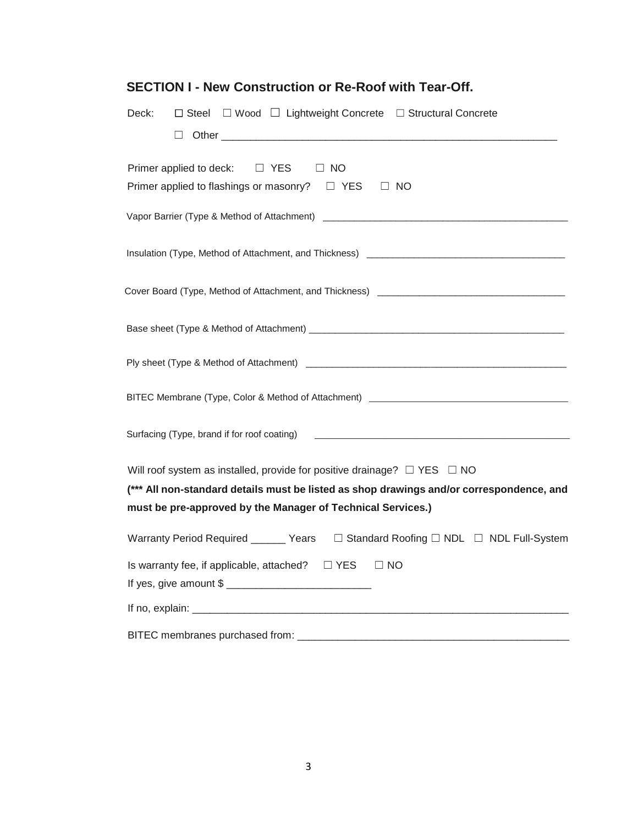| $\Box$ Steel $\Box$ Wood $\Box$ Lightweight Concrete $\Box$ Structural Concrete<br>Deck:<br>$\Box$                                                      |
|---------------------------------------------------------------------------------------------------------------------------------------------------------|
| Primer applied to deck: $\square$ YES<br>$\Box$ NO<br>Primer applied to flashings or masonry? $\Box$ YES $\Box$ NO                                      |
|                                                                                                                                                         |
| Insulation (Type, Method of Attachment, and Thickness) [1992] [2002] [2003] [2003] [2003] [2003] [2004] [2004] [                                        |
|                                                                                                                                                         |
|                                                                                                                                                         |
|                                                                                                                                                         |
| BITEC Membrane (Type, Color & Method of Attachment) ____________________________                                                                        |
| Surfacing (Type, brand if for roof coating) 2000 CONSERVING CONSERVATION CONTROL CONSERVATION CONTROL CONSERVATION                                      |
| Will roof system as installed, provide for positive drainage? $\Box$ YES $\Box$ NO                                                                      |
| (*** All non-standard details must be listed as shop drawings and/or correspondence, and<br>must be pre-approved by the Manager of Technical Services.) |
| Warranty Period Required ______ Years  □ Standard Roofing □ NDL □ NDL Full-System                                                                       |
| Is warranty fee, if applicable, attached? $\square$ YES<br>$\Box$ NO                                                                                    |
|                                                                                                                                                         |
| BITEC membranes purchased from:                                                                                                                         |

## **SECTION I - New Construction or Re-Roof with Tear-Off.**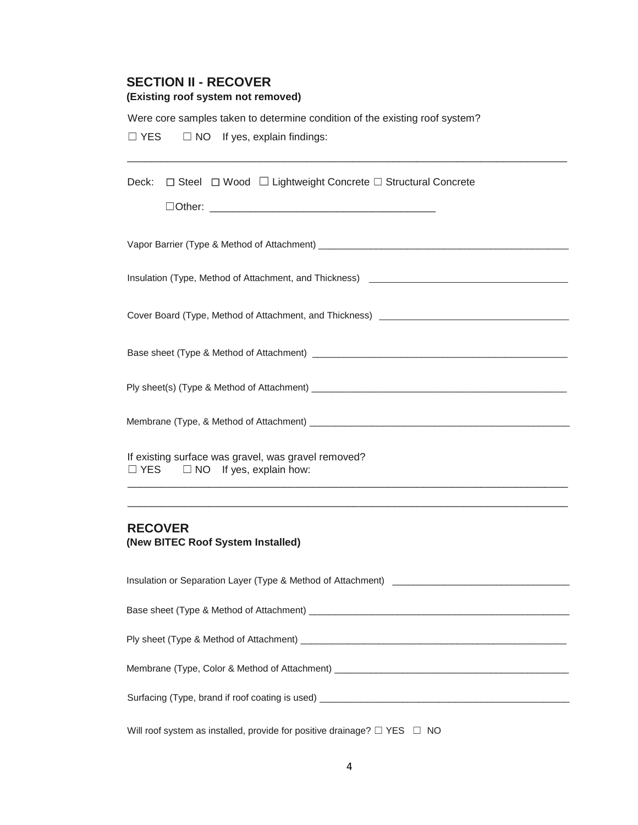#### **SECTION II - RECOVER**

#### **(Existing roof system not removed)**

Were core samples taken to determine condition of the existing roof system?

□ YES □ NO If yes, explain findings:

Deck:  $□$  Steel  $□$  Wood  $□$  Lightweight Concrete  $□$  Structural Concrete

Vapor Barrier (Type & Method of Attachment) **Napole 2018** 

Insulation (Type, Method of Attachment, and Thickness) \_\_\_\_\_\_\_\_\_\_\_\_\_\_\_\_\_\_\_\_\_\_\_\_\_

\_\_\_\_\_\_\_\_\_\_\_\_\_\_\_\_\_\_\_\_\_\_\_\_\_\_\_\_\_\_\_\_\_\_\_\_\_\_\_\_\_\_\_\_\_\_\_\_\_\_\_\_\_\_\_\_\_\_\_\_\_\_\_\_\_\_\_\_\_\_\_\_\_\_\_\_

Cover Board (Type, Method of Attachment, and Thickness) \_\_\_\_\_\_\_\_\_\_\_\_\_\_\_\_\_\_\_\_\_\_\_\_

Base sheet (Type & Method of Attachment) \_\_\_\_\_\_\_\_\_\_\_\_\_\_\_\_\_\_\_\_\_\_\_\_\_\_\_\_\_\_\_\_\_\_\_\_\_\_\_\_\_\_\_\_\_\_\_\_\_

Ply sheet(s) (Type & Method of Attachment) \_\_\_\_\_\_\_\_\_\_\_\_\_\_\_\_\_\_\_\_\_\_\_\_\_\_\_\_\_\_\_\_\_\_\_\_\_\_\_\_\_\_\_\_\_\_\_\_\_

Membrane (Type, & Method of Attachment) \_\_\_\_\_\_\_\_\_\_\_\_\_\_\_\_\_\_\_\_\_\_\_\_\_\_\_\_\_\_\_\_\_\_\_\_\_\_\_\_\_\_\_\_\_\_\_\_\_\_

If existing surface was gravel, was gravel removed? □ YES □ NO If yes, explain how:

### **RECOVER**

**(New BITEC Roof System Installed)** 

Insulation or Separation Layer (Type & Method of Attachment) \_\_\_\_\_\_\_\_\_\_\_\_\_\_\_\_\_\_\_\_\_\_\_\_\_\_\_\_\_\_\_\_\_\_ Base sheet (Type & Method of Attachment) **Example 2** and the state of the state of the state of the state of the state of the state of the state of the state of the state of the state of the state of the state of the state Ply sheet (Type & Method of Attachment) \_\_\_\_\_\_\_\_\_\_\_\_\_\_\_\_\_\_\_\_\_\_\_\_\_\_\_\_\_\_\_\_\_\_\_\_\_\_\_\_\_\_\_\_\_\_\_\_\_\_\_ Membrane (Type, Color & Method of Attachment) \_\_\_\_\_\_\_\_\_\_\_\_\_\_\_\_\_\_\_\_\_\_\_\_\_\_\_\_\_\_\_\_\_\_ Surfacing (Type, brand if roof coating is used) \_\_\_\_\_\_\_\_\_\_\_\_\_\_\_\_\_\_\_\_\_\_\_\_\_\_\_\_\_\_\_\_\_\_\_\_\_\_\_\_\_\_\_\_\_\_\_\_

\_\_\_\_\_\_\_\_\_\_\_\_\_\_\_\_\_\_\_\_\_\_\_\_\_\_\_\_\_\_\_\_\_\_\_\_\_\_\_\_\_\_\_\_\_\_\_\_\_\_\_\_\_\_\_\_\_\_\_\_\_\_\_\_\_\_\_\_\_\_\_\_\_\_\_\_ \_\_\_\_\_\_\_\_\_\_\_\_\_\_\_\_\_\_\_\_\_\_\_\_\_\_\_\_\_\_\_\_\_\_\_\_\_\_\_\_\_\_\_\_\_\_\_\_\_\_\_\_\_\_\_\_\_\_\_\_\_\_\_\_\_\_\_\_\_\_\_\_\_\_\_\_

Will roof system as installed, provide for positive drainage?  $\Box$  YES  $\Box$  NO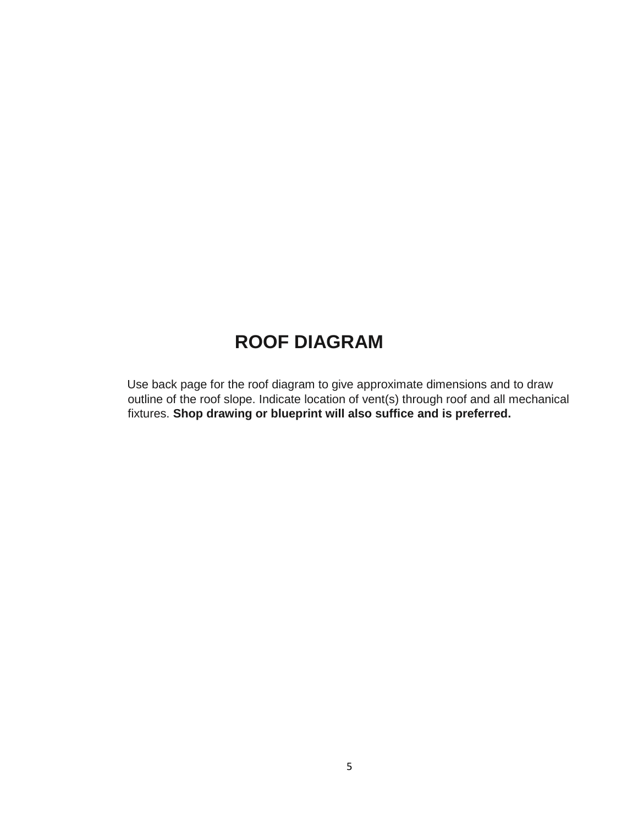# **ROOF DIAGRAM**

Use back page for the roof diagram to give approximate dimensions and to draw outline of the roof slope. Indicate location of vent(s) through roof and all mechanical fixtures. **Shop drawing or blueprint will also suffice and is preferred.**